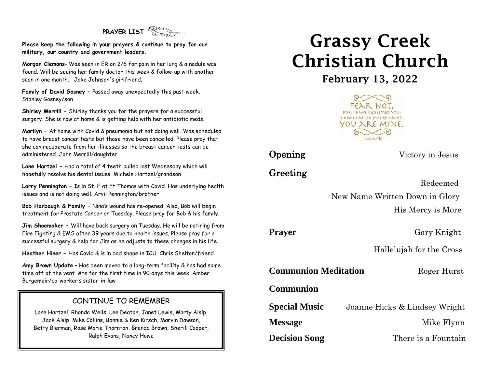# **PRAYER LIST**

**Please keep the following in your prayers & continue to pray for our military, our country and government leaders.**

**Morgan Clemons**- Was seen in ER on 2/6 for pain in her lung & a nodule was found. Will be seeing her family doctor this week & follow-up with another scan in one month. Jake Johnson's girlfriend.

**Family of David Gosney –** Passed away unexpectedly this past week. Stanley Gosney/son

**Shirley Merrill –** Shirley thanks you for the prayers for a successful surgery. She is now at home & is getting help with her antibiotic meds.

**Marilyn –** At home with Covid & pneumonia but not doing well. Was scheduled to have breast cancer tests but those have been cancelled. Please pray that she can recuperate from her illnesses so the breast cancer tests can be administered. John Merrill/daughter

**Lane Hartzel –** Had a total of 4 teeth pulled last Wednesday which will hopefully resolve his dental issues. Michele Hartzel/grandson

**Larry Pennington –** Is in St. E at Ft Thomas with Covid. Has underlying health issues and is not doing well. Arvil Pennington/brother

**Bob Harbaugh & Family –** Nina's wound has re-opened. Also, Bob will begin treatment for Prostate Cancer on Tuesday. Please pray for Bob & his family.

**Jim Shoemaker –** Will have back surgery on Tuesday. He will be retiring from Fire Fighting & EMS after 39 years due to health issues. Please pray for a successful surgery & help for Jim as he adjusts to these changes in his life.

**Heather Hiner –** Has Covid & is in bad shape in ICU. Chris Shelton/friend

**Amy Brown Update** – Has been moved to a long-term facility & has had some time off of the vent. Ate for the first time in 90 days this week. Amber Burgemeir/co-worker's sister-in-law

### CONTINUE TO REMEMBER

Lane Hartzel, Rhonda Wells, Lee Deaton, Janet Lewis, Marty Alsip, Jack Alsip, Mike Collins, Bonnie & Ken Kirsch, Marvin Dawson, Betty Bierman, Rose Marie Thornton, Brenda Brown, Sherill Cooper, Ralph Evans, Nancy Howe

I

# Grassy Creek Christian Church

February 13, 2022



Greeting

**Opening** Victory in Jesus

Redeemed

 New Name Written Down in Glory His Mercy is More

**Prayer** Gary Knight

Hallelujah for the Cross

**Communion Meditation** Roger Hurst

**Communion** 

**Special Music** Joanne Hicks & Lindsey Wright

**Message** Mike Flynn

**Decision Song** There is a Fountain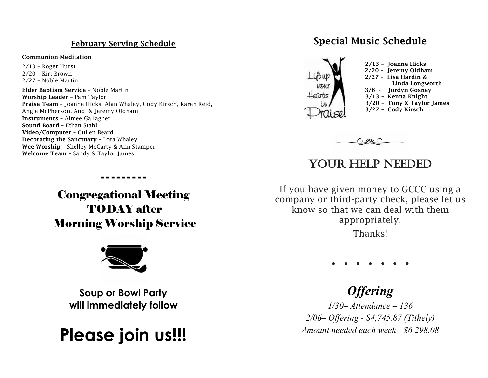### February Serving Schedule

#### Communion Meditation

2/13 – Roger Hurst 2/20 – Kirt Brown 2/27 – Noble Martin Elder Baptism Service – Noble Martin Worship Leader – Pam Taylor Praise Team – Joanne Hicks, Alan Whaley, Cody Kirsch, Karen Reid, Angie McPherson, Andi & Jeremy Oldham Instruments – Aimee Gallagher Sound Board – Ethan Stahl Video/Computer – Cullen Beard Decorating the Sanctuary – Lora Whaley Wee Worship – Shelley McCarty & Ann Stamper Welcome Team – Sandy & Taylor James

> Congregational Meeting TODAY after Morning Worship Service

- - - - - - - - -



**Soup or Bowl Party will immediately follow**

# **Please join us!!!**

### Special Music Schedule



 $O$   $Nk$   $O$ 

### YOUR HELP NEEDED

If you have given money to GCCC using a company or third-party check, please let us know so that we can deal with them appropriately.

Thanks!

. . . . . . .

# *Offering*

*1/30– Attendance – 136 2/06– Offering - \$4,745.87 (Tithely) Amount needed each week - \$6,298.08*